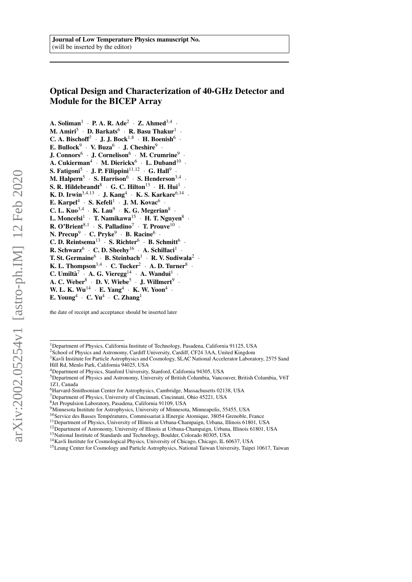# Optical Design and Characterization of 40-GHz Detector and Module for the BICEP Array

A. Soliman<sup>1</sup> · P. A. R. Ade<sup>2</sup> · Z. Ahmed<sup>3,4</sup> · M. Amiri $^5$   $\cdot$  D. Barkats $^6$   $\cdot$  R. Basu Thakur $^1$   $\cdot$ C. A. Bischoff<sup>7</sup> · J. J. Bock<sup>1,8</sup> · H. Boenish<sup>6</sup> · E. Bullock<sup>9</sup> · V. Buza<sup>6</sup> · J. Cheshire<sup>9</sup> · J. Connors $^6$   $\cdot$  J. Cornelison $^6$   $\cdot$  M. Crumrine $^9$ · A. Cukierman<sup>4</sup> · M. Dierickx<sup>6</sup> · L. Duband<sup>10</sup> · S. Fatigoni<sup>5</sup> • J. P. Filippini $^{11,12}$  • G. Hall<sup>9</sup> • M. Halpern $^5$   $\cdot$  S. Harrison $^6$   $\cdot$  S. Henderson $^{3,4}$ · S. R. Hildebrandt $^8$   $\cdot$  G. C. Hilton $^{13}$   $\cdot$  H. Hui $^1$   $\cdot$ K. D. Irwin<sup>3,4,13</sup> · J. Kang<sup>4</sup> · K. S. Karkare<sup>6,14</sup> · E. Karpel<sup>4</sup> · S. Kefeli<sup>1</sup> · J. M. Kovac<sup>6</sup> · C. L. Kuo<sup>3,4</sup> · K. Lau<sup>9</sup> · K. G. Megerian<sup>8</sup> · L. Moncelsi $^1$   $\,$  T. Namikawa $^{15}$   $\,$  H. T. Nguyen $^8$   $\,$ **R.** O'Brient<sup>8,1</sup> · S. Palladino<sup>7</sup> · T. Prouve<sup>10</sup> · N. Precup $9 + C$ . Pryke $9 + B$ . Racine $^{6}$ . C. D. Reintsema<sup>13</sup> · S. Richter<sup>6</sup> · B. Schmitt<sup>6</sup> · R. Schwarz<sup>6</sup> · C. D. Sheehy<sup>16</sup> · A. Schillaci<sup>1</sup> · T. St. Germaine $^6$  · B. Steinbach<sup>1</sup> · R. V. Sudiwala<sup>2</sup> · K. L. Thompson<sup>3,4</sup>  $\cdot$  C. Tucker<sup>2</sup>  $\cdot$  A. D. Turner<sup>8</sup>  $\cdot$ C. Umiltà<sup>7</sup> · A. G. Vieregg<sup>14</sup> · A. Wandui<sup>1</sup> · A. C. Weber $^8$   $\cdot$  D. V. Wiebe $^5$   $\cdot$  J. Willmert $^9$   $\cdot$ W. L. K. Wu<sup>14</sup> · E. Yang<sup>4</sup> · K. W. Yoon<sup>4</sup> · E. Young<sup>4</sup>  $\cdot$  C. Yu<sup>4</sup>  $\cdot$  C. Zhang<sup>1</sup>

the date of receipt and acceptance should be inserted later

<sup>&</sup>lt;sup>1</sup> Department of Physics, California Institute of Technology, Pasadena, California 91125, USA

<sup>&</sup>lt;sup>2</sup>School of Physics and Astronomy, Cardiff University, Cardiff, CF24 3AA, United Kingdom

<sup>&</sup>lt;sup>3</sup>Kavli Institute for Particle Astrophysics and Cosmology, SLAC National Accelerator Laboratory, 2575 Sand Hill Rd, Menlo Park, California 94025, USA

<sup>4</sup>Department of Physics, Stanford University, Stanford, California 94305, USA

<sup>5</sup>Department of Physics and Astronomy, University of British Columbia, Vancouver, British Columbia, V6T 1Z1, Canada

<sup>6</sup>Harvard-Smithsonian Center for Astrophysics, Cambridge, Massachusetts 02138, USA

<sup>7</sup>Department of Physics, University of Cincinnati, Cincinnati, Ohio 45221, USA

<sup>8</sup> Jet Propulsion Laboratory, Pasadena, California 91109, USA

<sup>&</sup>lt;sup>9</sup>Minnesota Institute for Astrophysics, University of Minnesota, Minneapolis, 55455, USA

 $^{10}$ Service des Basses Températures, Commissariat à lEnergie Atomique, 38054 Grenoble, France

<sup>11</sup>Department of Physics, University of Illinois at Urbana-Champaign, Urbana, Illinois 61801, USA

<sup>&</sup>lt;sup>12</sup>Department of Astronomy, University of Illinois at Urbana-Champaign, Urbana, Illinois 61801, USA

<sup>&</sup>lt;sup>13</sup>National Institute of Standards and Technology, Boulder, Colorado 80305, USA

<sup>&</sup>lt;sup>14</sup>Kavli Institute for Cosmological Physics, University of Chicago, Chicago, IL 60637, USA

<sup>&</sup>lt;sup>15</sup>Leung Center for Cosmology and Particle Astrophysics, National Taiwan University, Taipei 10617, Taiwan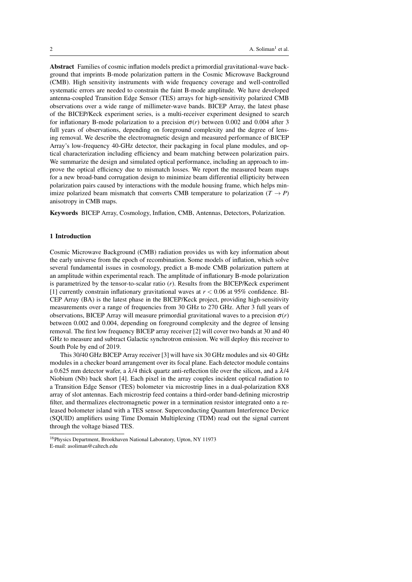Abstract Families of cosmic inflation models predict a primordial gravitational-wave background that imprints B-mode polarization pattern in the Cosmic Microwave Background (CMB). High sensitivity instruments with wide frequency coverage and well-controlled systematic errors are needed to constrain the faint B-mode amplitude. We have developed antenna-coupled Transition Edge Sensor (TES) arrays for high-sensitivity polarized CMB observations over a wide range of millimeter-wave bands. BICEP Array, the latest phase of the BICEP/Keck experiment series, is a multi-receiver experiment designed to search for inflationary B-mode polarization to a precision  $\sigma(r)$  between 0.002 and 0.004 after 3 full years of observations, depending on foreground complexity and the degree of lensing removal. We describe the electromagnetic design and measured performance of BICEP Array's low-frequency 40-GHz detector, their packaging in focal plane modules, and optical characterization including efficiency and beam matching between polarization pairs. We summarize the design and simulated optical performance, including an approach to improve the optical efficiency due to mismatch losses. We report the measured beam maps for a new broad-band corrugation design to minimize beam differential ellipticity between polarization pairs caused by interactions with the module housing frame, which helps minimize polarized beam mismatch that converts CMB temperature to polarization  $(T \rightarrow P)$ anisotropy in CMB maps.

Keywords BICEP Array, Cosmology, Inflation, CMB, Antennas, Detectors, Polarization.

#### 1 Introduction

Cosmic Microwave Background (CMB) radiation provides us with key information about the early universe from the epoch of recombination. Some models of inflation, which solve several fundamental issues in cosmology, predict a B-mode CMB polarization pattern at an amplitude within experimental reach. The amplitude of inflationary B-mode polarization is parametrized by the tensor-to-scalar ratio (*r*). Results from the BICEP/Keck experiment [1] currently constrain inflationary gravitational waves at  $r < 0.06$  at 95% confidence. BI-CEP Array (BA) is the latest phase in the BICEP/Keck project, providing high-sensitivity measurements over a range of frequencies from 30 GHz to 270 GHz. After 3 full years of observations, BICEP Array will measure primordial gravitational waves to a precision  $\sigma(r)$ between 0.002 and 0.004, depending on foreground complexity and the degree of lensing removal. The first low frequency BICEP array receiver [2] will cover two bands at 30 and 40 GHz to measure and subtract Galactic synchrotron emission. We will deploy this receiver to South Pole by end of 2019.

This 30/40 GHz BICEP Array receiver [3] will have six 30 GHz modules and six 40 GHz modules in a checker board arrangement over its focal plane. Each detector module contains a 0.625 mm detector wafer, a  $\lambda$ /4 thick quartz anti-reflection tile over the silicon, and a  $\lambda$ /4 Niobium (Nb) back short [4]. Each pixel in the array couples incident optical radiation to a Transition Edge Sensor (TES) bolometer via microstrip lines in a dual-polarization 8X8 array of slot antennas. Each microstrip feed contains a third-order band-defining microstrip filter, and thermalizes electromagnetic power in a termination resistor integrated onto a released bolometer island with a TES sensor. Superconducting Quantum Interference Device (SQUID) amplifiers using Time Domain Multiplexing (TDM) read out the signal current through the voltage biased TES.

<sup>16</sup>Physics Department, Brookhaven National Laboratory, Upton, NY 11973 E-mail: asoliman@caltech.edu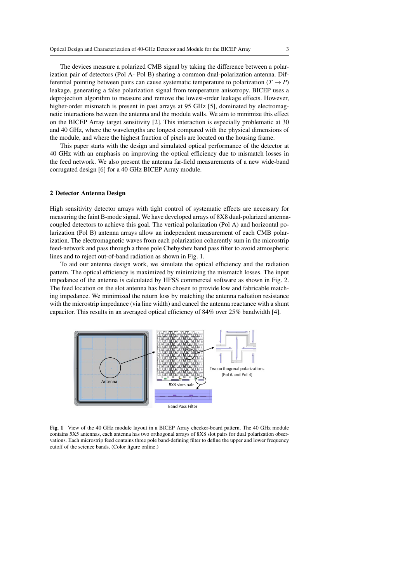The devices measure a polarized CMB signal by taking the difference between a polarization pair of detectors (Pol A- Pol B) sharing a common dual-polarization antenna. Differential pointing between pairs can cause systematic temperature to polarization  $(T \rightarrow P)$ leakage, generating a false polarization signal from temperature anisotropy. BICEP uses a deprojection algorithm to measure and remove the lowest-order leakage effects. However, higher-order mismatch is present in past arrays at 95 GHz [5], dominated by electromagnetic interactions between the antenna and the module walls. We aim to minimize this effect on the BICEP Array target sensitivity [2]. This interaction is especially problematic at 30 and 40 GHz, where the wavelengths are longest compared with the physical dimensions of the module, and where the highest fraction of pixels are located on the housing frame.

This paper starts with the design and simulated optical performance of the detector at 40 GHz with an emphasis on improving the optical efficiency due to mismatch losses in the feed network. We also present the antenna far-field measurements of a new wide-band corrugated design [6] for a 40 GHz BICEP Array module.

#### 2 Detector Antenna Design

High sensitivity detector arrays with tight control of systematic effects are necessary for measuring the faint B-mode signal. We have developed arrays of 8X8 dual-polarized antennacoupled detectors to achieve this goal. The vertical polarization (Pol A) and horizontal polarization (Pol B) antenna arrays allow an independent measurement of each CMB polarization. The electromagnetic waves from each polarization coherently sum in the microstrip feed-network and pass through a three pole Chebyshev band pass filter to avoid atmospheric lines and to reject out-of-band radiation as shown in Fig. 1.

To aid our antenna design work, we simulate the optical efficiency and the radiation pattern. The optical efficiency is maximized by minimizing the mismatch losses. The input impedance of the antenna is calculated by HFSS commercial software as shown in Fig. 2. The feed location on the slot antenna has been chosen to provide low and fabricable matching impedance. We minimized the return loss by matching the antenna radiation resistance with the microstrip impedance (via line width) and cancel the antenna reactance with a shunt capacitor. This results in an averaged optical efficiency of 84% over 25% bandwidth [4].



Fig. 1 View of the 40 GHz module layout in a BICEP Array checker-board pattern. The 40 GHz module contains 5X5 antennas, each antenna has two orthogonal arrays of 8X8 slot pairs for dual polarization observations. Each microstrip feed contains three pole band-defining filter to define the upper and lower frequency cutoff of the science bands. (Color figure online.)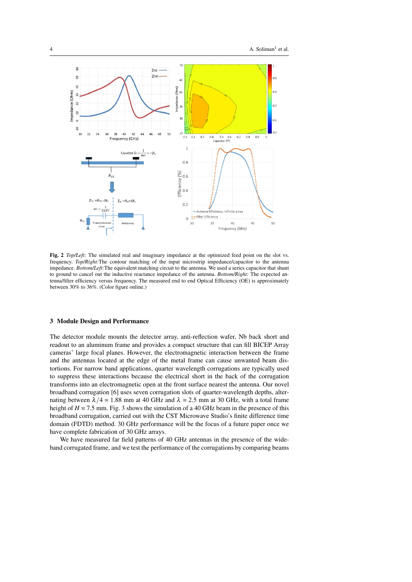

Fig. 2 *Top/Left:* The simulated real and imaginary impedance at the optimized feed point on the slot vs. frequency. *Top/Right:*The contour matching of the input microstrip impedance/capacitor to the antenna impedance. *Bottom/Left:*The equivalent matching circuit to the antenna. We used a series capacitor that shunt to ground to cancel out the inductive reactance impedance of the antenna. *Bottom/Right:* The expected antenna/filter efficiency versus frequency. The measured end to end Optical Efficiency (OE) is approximately between 30% to 36%. (Color figure online.)

#### 3 Module Design and Performance

The detector module mounts the detector array, anti-reflection wafer, Nb back short and readout to an aluminum frame and provides a compact structure that can fill BICEP Array cameras' large focal planes. However, the electromagnetic interaction between the frame and the antennas located at the edge of the metal frame can cause unwanted beam distortions. For narrow band applications, quarter wavelength corrugations are typically used to suppress these interactions because the electrical short in the back of the corrugation transforms into an electromagnetic open at the front surface nearest the antenna. Our novel broadband corrugation [6] uses seven corrugation slots of quarter-wavelength depths, alternating between  $\lambda/4 = 1.88$  mm at 40 GHz and  $\lambda = 2.5$  mm at 30 GHz, with a total frame height of  $H = 7.5$  mm. Fig. 3 shows the simulation of a 40 GHz beam in the presence of this broadband corrugation, carried out with the CST Microwave Studio's finite difference time domain (FDTD) method. 30 GHz performance will be the focus of a future paper once we have complete fabrication of 30 GHz arrays.

We have measured far field patterns of 40 GHz antennas in the presence of the wideband corrugated frame, and we test the performance of the corrugations by comparing beams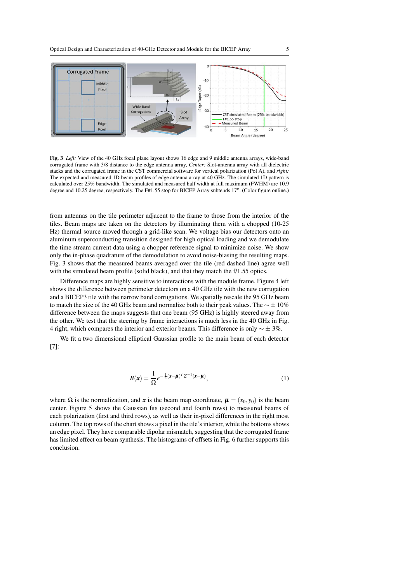

Fig. 3 *Left:* View of the 40 GHz focal plane layout shows 16 edge and 9 middle antenna arrays, wide-band corrugated frame with 3/8 distance to the edge antenna array, *Center:* Slot-antenna array with all dielectric stacks and the corrugated frame in the CST commercial software for vertical polarization (Pol A), and *right:* The expected and measured 1D beam profiles of edge antenna array at 40 GHz. The simulated 1D pattern is calculated over 25% bandwidth. The simulated and measured half width at full maximum (FWHM) are 10.9 degree and 10.25 degree, respectively. The F#1.55 stop for BICEP Array subtends 17*<sup>o</sup>* . (Color figure online.)

from antennas on the tile perimeter adjacent to the frame to those from the interior of the tiles. Beam maps are taken on the detectors by illuminating them with a chopped (10-25 Hz) thermal source moved through a grid-like scan. We voltage bias our detectors onto an aluminum superconducting transition designed for high optical loading and we demodulate the time stream current data using a chopper reference signal to minimize noise. We show only the in-phase quadrature of the demodulation to avoid noise-biasing the resulting maps. Fig. 3 shows that the measured beams averaged over the tile (red dashed line) agree well with the simulated beam profile (solid black), and that they match the f/1.55 optics.

Difference maps are highly sensitive to interactions with the module frame. Figure 4 left shows the difference between perimeter detectors on a 40 GHz tile with the new corrugation and a BICEP3 tile with the narrow band corrugations. We spatially rescale the 95 GHz beam to match the size of the 40 GHz beam and normalize both to their peak values. The  $\sim \pm 10\%$ difference between the maps suggests that one beam (95 GHz) is highly steered away from the other. We test that the steering by frame interactions is much less in the 40 GHz in Fig. 4 right, which compares the interior and exterior beams. This difference is only  $\sim \pm 3\%$ .

We fit a two dimensional elliptical Gaussian profile to the main beam of each detector [7]:

$$
B(\mathbf{x}) = \frac{1}{\Omega} e^{-\frac{1}{2}(\mathbf{x} - \boldsymbol{\mu})^T \Sigma^{-1}(\mathbf{x} - \boldsymbol{\mu})},
$$
\n(1)

where  $\Omega$  is the normalization, and *x* is the beam map coordinate,  $\mu = (x_0, y_0)$  is the beam center. Figure 5 shows the Gaussian fits (second and fourth rows) to measured beams of each polarization (first and third rows), as well as their in-pixel differences in the right most column. The top rows of the chart shows a pixel in the tile's interior, while the bottoms shows an edge pixel. They have comparable dipolar mismatch, suggesting that the corrugated frame has limited effect on beam synthesis. The histograms of offsets in Fig. 6 further supports this conclusion.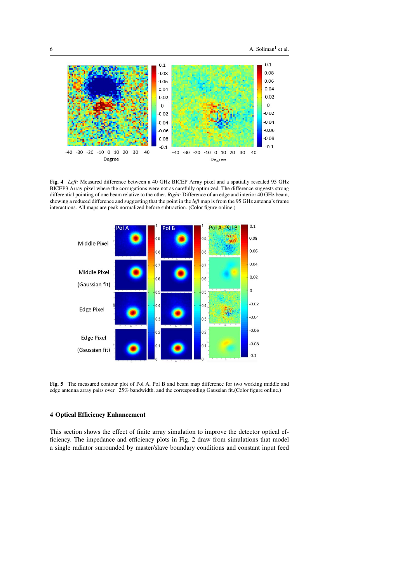

Fig. 4 *Left:* Measured difference between a 40 GHz BICEP Array pixel and a spatially rescaled 95 GHz BICEP3 Array pixel where the corrugations were not as carefully optimized. The difference suggests strong differential pointing of one beam relative to the other. *Right:* Difference of an edge and interior 40 GHz beam, showing a reduced difference and suggesting that the point in the *left* map is from the 95 GHz antenna's frame interactions. All maps are peak normalized before subtraction. (Color figure online.)



Fig. 5 The measured contour plot of Pol A, Pol B and beam map difference for two working middle and edge antenna array pairs over 25% bandwidth, and the corresponding Gaussian fit.(Color figure online.)

### 4 Optical Efficiency Enhancement

This section shows the effect of finite array simulation to improve the detector optical efficiency. The impedance and efficiency plots in Fig. 2 draw from simulations that model a single radiator surrounded by master/slave boundary conditions and constant input feed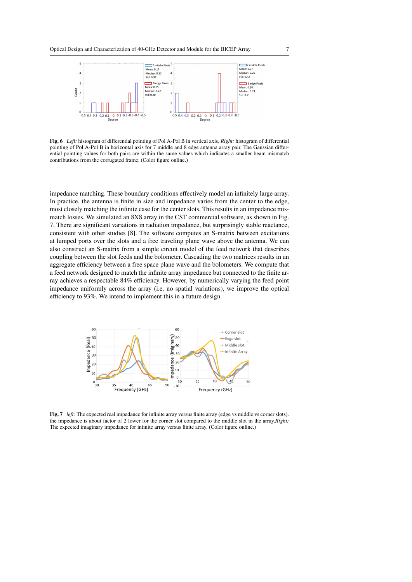

Fig. 6 *Left:* histogram of differential pointing of Pol A-Pol B in vertical axis, *Right:* histogram of differential pointing of Pol A-Pol B in horizontal axis for 7 middle and 8 edge antenna array pair. The Gaussian differential pointing values for both pairs are within the same values which indicates a smaller beam mismatch contributions from the corrugated frame. (Color figure online.)

impedance matching. These boundary conditions effectively model an infinitely large array. In practice, the antenna is finite in size and impedance varies from the center to the edge, most closely matching the infinite case for the center slots. This results in an impedance mismatch losses. We simulated an 8X8 array in the CST commercial software, as shown in Fig. 7. There are significant variations in radiation impedance, but surprisingly stable reactance, consistent with other studies [8]. The software computes an S-matrix between excitations at lumped ports over the slots and a free traveling plane wave above the antenna. We can also construct an S-matrix from a simple circuit model of the feed network that describes coupling between the slot feeds and the bolometer. Cascading the two matrices results in an aggregate efficiency between a free space plane wave and the bolometers. We compute that a feed network designed to match the infinite array impedance but connected to the finite array achieves a respectable 84% efficiency. However, by numerically varying the feed point impedance uniformly across the array (i.e. no spatial variations), we improve the optical efficiency to 93%. We intend to implement this in a future design.



Fig. 7 *left:* The expected real impedance for infinite array versus finite array (edge vs middle vs corner slots). the impedance is about factor of 2 lower for the corner slot compared to the middle slot in the array.*Right:* The expected imaginary impedance for infinite array versus finite array. (Color figure online.)